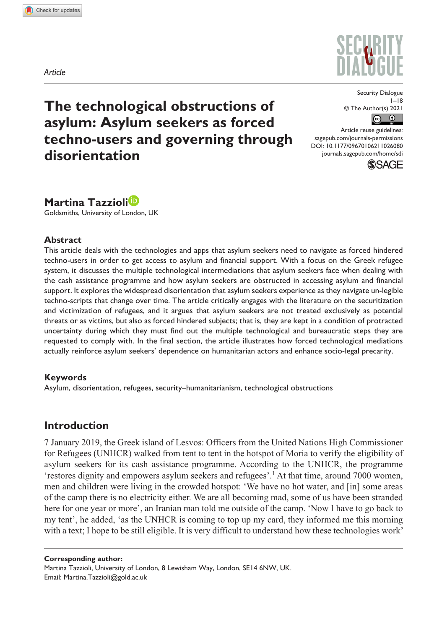*Article*





Security Dialogue  $1-18$ © The Author(s) 2021  $\left($  $\odot$ 

DOI: 10.1177/09670106211026080 Article reuse guidelines: [sagepub.com/journals-permissions](https://uk.sagepub.com/en-gb/journals-permissions) [journals.sagepub.com/home/sdi](https://journals.sagepub.com/home/sdi)



**Martina Tazzioli** Goldsmiths, University of London, UK

### **Abstract**

This article deals with the technologies and apps that asylum seekers need to navigate as forced hindered techno-users in order to get access to asylum and financial support. With a focus on the Greek refugee system, it discusses the multiple technological intermediations that asylum seekers face when dealing with the cash assistance programme and how asylum seekers are obstructed in accessing asylum and financial support. It explores the widespread disorientation that asylum seekers experience as they navigate un-legible techno-scripts that change over time. The article critically engages with the literature on the securitization and victimization of refugees, and it argues that asylum seekers are not treated exclusively as potential threats or as victims, but also as forced hindered subjects; that is, they are kept in a condition of protracted uncertainty during which they must find out the multiple technological and bureaucratic steps they are requested to comply with. In the final section, the article illustrates how forced technological mediations actually reinforce asylum seekers' dependence on humanitarian actors and enhance socio-legal precarity.

### **Keywords**

Asylum, disorientation, refugees, security–humanitarianism, technological obstructions

## **Introduction**

7 January 2019, the Greek island of Lesvos: Officers from the United Nations High Commissioner for Refugees (UNHCR) walked from tent to tent in the hotspot of Moria to verify the eligibility of asylum seekers for its cash assistance programme. According to the UNHCR, the programme 'restores dignity and empowers asylum seekers and refugees'.<sup>1</sup> At that time, around 7000 women, men and children were living in the crowded hotspot: 'We have no hot water, and [in] some areas of the camp there is no electricity either. We are all becoming mad, some of us have been stranded here for one year or more', an Iranian man told me outside of the camp. 'Now I have to go back to my tent', he added, 'as the UNHCR is coming to top up my card, they informed me this morning with a text; I hope to be still eligible. It is very difficult to understand how these technologies work'

**Corresponding author:**

Martina Tazzioli, University of London, 8 Lewisham Way, London, SE14 6NW, UK. Email: [Martina.Tazzioli@gold.ac.uk](mailto:Martina.Tazzioli@gold.ac.uk)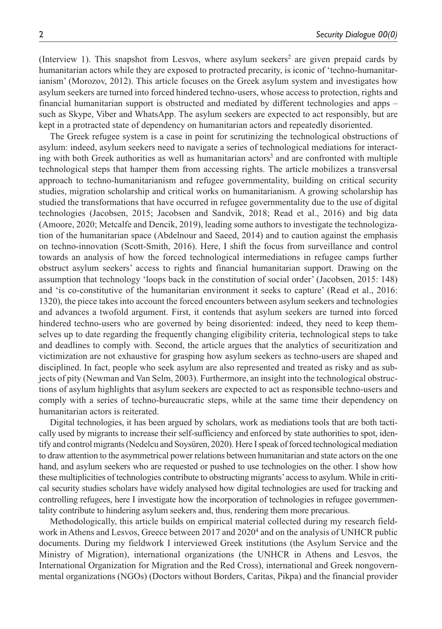(Interview 1). This snapshot from Lesvos, where asylum seekers<sup>2</sup> are given prepaid cards by humanitarian actors while they are exposed to protracted precarity, is iconic of 'techno-humanitarianism' (Morozov, 2012). This article focuses on the Greek asylum system and investigates how asylum seekers are turned into forced hindered techno-users, whose access to protection, rights and financial humanitarian support is obstructed and mediated by different technologies and apps – such as Skype, Viber and WhatsApp. The asylum seekers are expected to act responsibly, but are kept in a protracted state of dependency on humanitarian actors and repeatedly disoriented.

The Greek refugee system is a case in point for scrutinizing the technological obstructions of asylum: indeed, asylum seekers need to navigate a series of technological mediations for interacting with both Greek authorities as well as humanitarian actors<sup>3</sup> and are confronted with multiple technological steps that hamper them from accessing rights. The article mobilizes a transversal approach to techno-humanitarianism and refugee governmentality, building on critical security studies, migration scholarship and critical works on humanitarianism. A growing scholarship has studied the transformations that have occurred in refugee governmentality due to the use of digital technologies (Jacobsen, 2015; Jacobsen and Sandvik, 2018; Read et al., 2016) and big data (Amoore, 2020; Metcalfe and Dencik, 2019), leading some authors to investigate the technologization of the humanitarian space (Abdelnour and Saeed, 2014) and to caution against the emphasis on techno-innovation (Scott-Smith, 2016). Here, I shift the focus from surveillance and control towards an analysis of how the forced technological intermediations in refugee camps further obstruct asylum seekers' access to rights and financial humanitarian support. Drawing on the assumption that technology 'loops back in the constitution of social order' (Jacobsen, 2015: 148) and 'is co-constitutive of the humanitarian environment it seeks to capture' (Read et al., 2016: 1320), the piece takes into account the forced encounters between asylum seekers and technologies and advances a twofold argument. First, it contends that asylum seekers are turned into forced hindered techno-users who are governed by being disoriented: indeed, they need to keep themselves up to date regarding the frequently changing eligibility criteria, technological steps to take and deadlines to comply with. Second, the article argues that the analytics of securitization and victimization are not exhaustive for grasping how asylum seekers as techno-users are shaped and disciplined. In fact, people who seek asylum are also represented and treated as risky and as subjects of pity (Newman and Van Selm, 2003). Furthermore, an insight into the technological obstructions of asylum highlights that asylum seekers are expected to act as responsible techno-users and comply with a series of techno-bureaucratic steps, while at the same time their dependency on humanitarian actors is reiterated.

Digital technologies, it has been argued by scholars, work as mediations tools that are both tactically used by migrants to increase their self-sufficiency and enforced by state authorities to spot, identify and control migrants (Nedelcu and Soysüren, 2020). Here I speak of forced technological mediation to draw attention to the asymmetrical power relations between humanitarian and state actors on the one hand, and asylum seekers who are requested or pushed to use technologies on the other. I show how these multiplicities of technologies contribute to obstructing migrants' access to asylum. While in critical security studies scholars have widely analysed how digital technologies are used for tracking and controlling refugees, here I investigate how the incorporation of technologies in refugee governmentality contribute to hindering asylum seekers and, thus, rendering them more precarious.

Methodologically, this article builds on empirical material collected during my research fieldwork in Athens and Lesvos, Greece between 2017 and 2020<sup>4</sup> and on the analysis of UNHCR public documents. During my fieldwork I interviewed Greek institutions (the Asylum Service and the Ministry of Migration), international organizations (the UNHCR in Athens and Lesvos, the International Organization for Migration and the Red Cross), international and Greek nongovernmental organizations (NGOs) (Doctors without Borders, Caritas, Pikpa) and the financial provider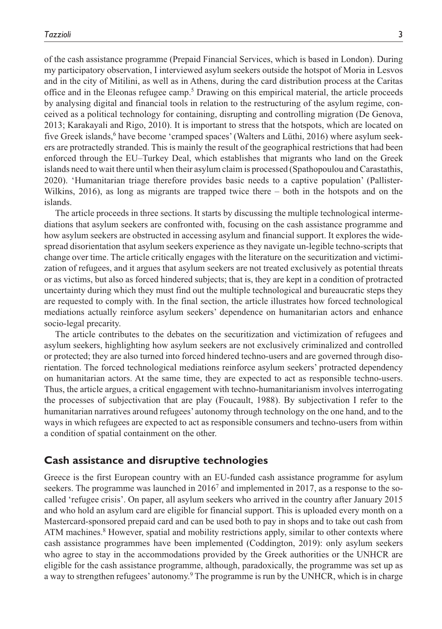of the cash assistance programme (Prepaid Financial Services, which is based in London). During my participatory observation, I interviewed asylum seekers outside the hotspot of Moria in Lesvos and in the city of Mitilini, as well as in Athens, during the card distribution process at the Caritas office and in the Eleonas refugee camp.<sup>5</sup> Drawing on this empirical material, the article proceeds by analysing digital and financial tools in relation to the restructuring of the asylum regime, conceived as a political technology for containing, disrupting and controlling migration (De Genova, 2013; Karakayali and Rigo, 2010). It is important to stress that the hotspots, which are located on five Greek islands,<sup>6</sup> have become 'cramped spaces' (Walters and Lüthi, 2016) where asylum seekers are protractedly stranded. This is mainly the result of the geographical restrictions that had been enforced through the EU–Turkey Deal, which establishes that migrants who land on the Greek islands need to wait there until when their asylum claim is processed (Spathopoulou and Carastathis, 2020). 'Humanitarian triage therefore provides basic needs to a captive population' (Pallister-Wilkins, 2016), as long as migrants are trapped twice there – both in the hotspots and on the islands.

The article proceeds in three sections. It starts by discussing the multiple technological intermediations that asylum seekers are confronted with, focusing on the cash assistance programme and how asylum seekers are obstructed in accessing asylum and financial support. It explores the widespread disorientation that asylum seekers experience as they navigate un-legible techno-scripts that change over time. The article critically engages with the literature on the securitization and victimization of refugees, and it argues that asylum seekers are not treated exclusively as potential threats or as victims, but also as forced hindered subjects; that is, they are kept in a condition of protracted uncertainty during which they must find out the multiple technological and bureaucratic steps they are requested to comply with. In the final section, the article illustrates how forced technological mediations actually reinforce asylum seekers' dependence on humanitarian actors and enhance socio-legal precarity.

The article contributes to the debates on the securitization and victimization of refugees and asylum seekers, highlighting how asylum seekers are not exclusively criminalized and controlled or protected; they are also turned into forced hindered techno-users and are governed through disorientation. The forced technological mediations reinforce asylum seekers' protracted dependency on humanitarian actors. At the same time, they are expected to act as responsible techno-users. Thus, the article argues, a critical engagement with techno-humanitarianism involves interrogating the processes of subjectivation that are play (Foucault, 1988). By subjectivation I refer to the humanitarian narratives around refugees' autonomy through technology on the one hand, and to the ways in which refugees are expected to act as responsible consumers and techno-users from within a condition of spatial containment on the other.

## **Cash assistance and disruptive technologies**

Greece is the first European country with an EU-funded cash assistance programme for asylum seekers. The programme was launched in  $2016<sup>7</sup>$  and implemented in 2017, as a response to the socalled 'refugee crisis'. On paper, all asylum seekers who arrived in the country after January 2015 and who hold an asylum card are eligible for financial support. This is uploaded every month on a Mastercard-sponsored prepaid card and can be used both to pay in shops and to take out cash from ATM machines.<sup>8</sup> However, spatial and mobility restrictions apply, similar to other contexts where cash assistance programmes have been implemented (Coddington, 2019): only asylum seekers who agree to stay in the accommodations provided by the Greek authorities or the UNHCR are eligible for the cash assistance programme, although, paradoxically, the programme was set up as a way to strengthen refugees' autonomy.<sup>9</sup> The programme is run by the UNHCR, which is in charge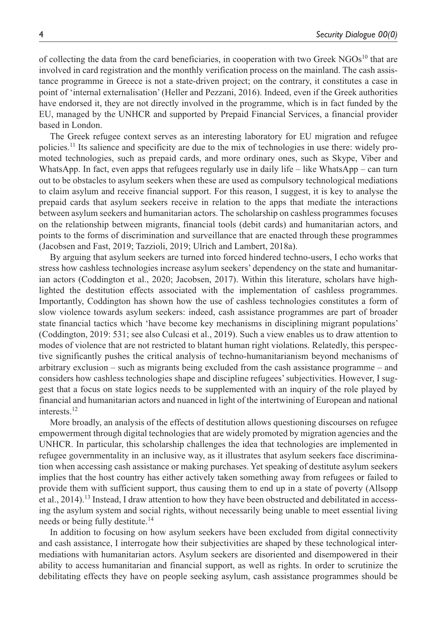of collecting the data from the card beneficiaries, in cooperation with two Greek  $NGOs<sup>10</sup>$  that are involved in card registration and the monthly verification process on the mainland. The cash assistance programme in Greece is not a state-driven project; on the contrary, it constitutes a case in point of 'internal externalisation' (Heller and Pezzani, 2016). Indeed, even if the Greek authorities have endorsed it, they are not directly involved in the programme, which is in fact funded by the EU, managed by the UNHCR and supported by Prepaid Financial Services, a financial provider based in London.

The Greek refugee context serves as an interesting laboratory for EU migration and refugee policies.11 Its salience and specificity are due to the mix of technologies in use there: widely promoted technologies, such as prepaid cards, and more ordinary ones, such as Skype, Viber and WhatsApp. In fact, even apps that refugees regularly use in daily life – like WhatsApp – can turn out to be obstacles to asylum seekers when these are used as compulsory technological mediations to claim asylum and receive financial support. For this reason, I suggest, it is key to analyse the prepaid cards that asylum seekers receive in relation to the apps that mediate the interactions between asylum seekers and humanitarian actors. The scholarship on cashless programmes focuses on the relationship between migrants, financial tools (debit cards) and humanitarian actors, and points to the forms of discrimination and surveillance that are enacted through these programmes (Jacobsen and Fast, 2019; Tazzioli, 2019; Ulrich and Lambert, 2018a).

By arguing that asylum seekers are turned into forced hindered techno-users, I echo works that stress how cashless technologies increase asylum seekers' dependency on the state and humanitarian actors (Coddington et al., 2020; Jacobsen, 2017). Within this literature, scholars have highlighted the destitution effects associated with the implementation of cashless programmes. Importantly, Coddington has shown how the use of cashless technologies constitutes a form of slow violence towards asylum seekers: indeed, cash assistance programmes are part of broader state financial tactics which 'have become key mechanisms in disciplining migrant populations' (Coddington, 2019: 531; see also Culcasi et al., 2019). Such a view enables us to draw attention to modes of violence that are not restricted to blatant human right violations. Relatedly, this perspective significantly pushes the critical analysis of techno-humanitarianism beyond mechanisms of arbitrary exclusion – such as migrants being excluded from the cash assistance programme – and considers how cashless technologies shape and discipline refugees' subjectivities. However, I suggest that a focus on state logics needs to be supplemented with an inquiry of the role played by financial and humanitarian actors and nuanced in light of the intertwining of European and national interests.12

More broadly, an analysis of the effects of destitution allows questioning discourses on refugee empowerment through digital technologies that are widely promoted by migration agencies and the UNHCR. In particular, this scholarship challenges the idea that technologies are implemented in refugee governmentality in an inclusive way, as it illustrates that asylum seekers face discrimination when accessing cash assistance or making purchases. Yet speaking of destitute asylum seekers implies that the host country has either actively taken something away from refugees or failed to provide them with sufficient support, thus causing them to end up in a state of poverty (Allsopp et al., 2014).<sup>13</sup> Instead, I draw attention to how they have been obstructed and debilitated in accessing the asylum system and social rights, without necessarily being unable to meet essential living needs or being fully destitute.<sup>14</sup>

In addition to focusing on how asylum seekers have been excluded from digital connectivity and cash assistance, I interrogate how their subjectivities are shaped by these technological intermediations with humanitarian actors. Asylum seekers are disoriented and disempowered in their ability to access humanitarian and financial support, as well as rights. In order to scrutinize the debilitating effects they have on people seeking asylum, cash assistance programmes should be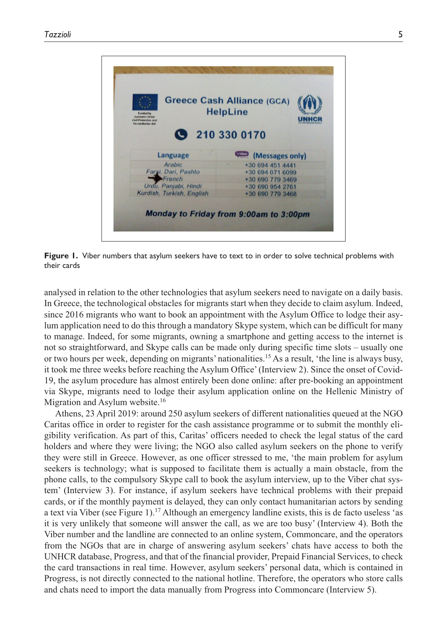

**Figure 1.** Viber numbers that asylum seekers have to text to in order to solve technical problems with their cards

analysed in relation to the other technologies that asylum seekers need to navigate on a daily basis. In Greece, the technological obstacles for migrants start when they decide to claim asylum. Indeed, since 2016 migrants who want to book an appointment with the Asylum Office to lodge their asylum application need to do this through a mandatory Skype system, which can be difficult for many to manage. Indeed, for some migrants, owning a smartphone and getting access to the internet is not so straightforward, and Skype calls can be made only during specific time slots – usually one or two hours per week, depending on migrants' nationalities.<sup>15</sup> As a result, 'the line is always busy, it took me three weeks before reaching the Asylum Office' (Interview 2). Since the onset of Covid-19, the asylum procedure has almost entirely been done online: after pre-booking an appointment via Skype, migrants need to lodge their asylum application online on the Hellenic Ministry of Migration and Asylum website.<sup>16</sup>

Athens, 23 April 2019: around 250 asylum seekers of different nationalities queued at the NGO Caritas office in order to register for the cash assistance programme or to submit the monthly eligibility verification. As part of this, Caritas' officers needed to check the legal status of the card holders and where they were living; the NGO also called asylum seekers on the phone to verify they were still in Greece. However, as one officer stressed to me, 'the main problem for asylum seekers is technology; what is supposed to facilitate them is actually a main obstacle, from the phone calls, to the compulsory Skype call to book the asylum interview, up to the Viber chat system' (Interview 3). For instance, if asylum seekers have technical problems with their prepaid cards, or if the monthly payment is delayed, they can only contact humanitarian actors by sending a text via Viber (see Figure 1).17 Although an emergency landline exists, this is de facto useless 'as it is very unlikely that someone will answer the call, as we are too busy' (Interview 4). Both the Viber number and the landline are connected to an online system, Commoncare, and the operators from the NGOs that are in charge of answering asylum seekers' chats have access to both the UNHCR database, Progress, and that of the financial provider, Prepaid Financial Services, to check the card transactions in real time. However, asylum seekers' personal data, which is contained in Progress, is not directly connected to the national hotline. Therefore, the operators who store calls and chats need to import the data manually from Progress into Commoncare (Interview 5).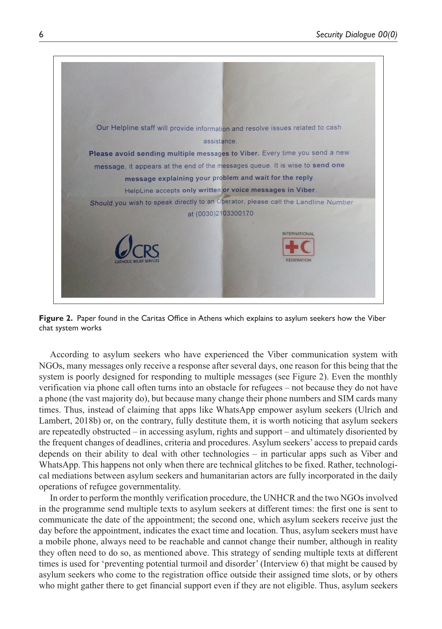

**Figure 2.** Paper found in the Caritas Office in Athens which explains to asylum seekers how the Viber chat system works

According to asylum seekers who have experienced the Viber communication system with NGOs, many messages only receive a response after several days, one reason for this being that the system is poorly designed for responding to multiple messages (see Figure 2). Even the monthly verification via phone call often turns into an obstacle for refugees – not because they do not have a phone (the vast majority do), but because many change their phone numbers and SIM cards many times. Thus, instead of claiming that apps like WhatsApp empower asylum seekers (Ulrich and Lambert, 2018b) or, on the contrary, fully destitute them, it is worth noticing that asylum seekers are repeatedly obstructed – in accessing asylum, rights and support – and ultimately disoriented by the frequent changes of deadlines, criteria and procedures. Asylum seekers' access to prepaid cards depends on their ability to deal with other technologies – in particular apps such as Viber and WhatsApp. This happens not only when there are technical glitches to be fixed. Rather, technological mediations between asylum seekers and humanitarian actors are fully incorporated in the daily operations of refugee governmentality.

In order to perform the monthly verification procedure, the UNHCR and the two NGOs involved in the programme send multiple texts to asylum seekers at different times: the first one is sent to communicate the date of the appointment; the second one, which asylum seekers receive just the day before the appointment, indicates the exact time and location. Thus, asylum seekers must have a mobile phone, always need to be reachable and cannot change their number, although in reality they often need to do so, as mentioned above. This strategy of sending multiple texts at different times is used for 'preventing potential turmoil and disorder' (Interview 6) that might be caused by asylum seekers who come to the registration office outside their assigned time slots, or by others who might gather there to get financial support even if they are not eligible. Thus, asylum seekers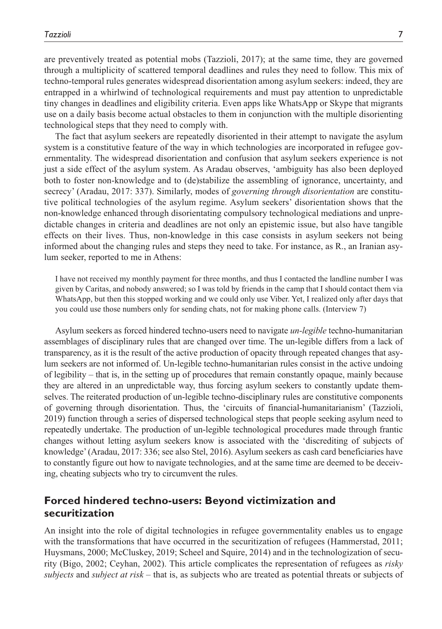are preventively treated as potential mobs (Tazzioli, 2017); at the same time, they are governed through a multiplicity of scattered temporal deadlines and rules they need to follow. This mix of techno-temporal rules generates widespread disorientation among asylum seekers: indeed, they are entrapped in a whirlwind of technological requirements and must pay attention to unpredictable tiny changes in deadlines and eligibility criteria. Even apps like WhatsApp or Skype that migrants use on a daily basis become actual obstacles to them in conjunction with the multiple disorienting technological steps that they need to comply with.

The fact that asylum seekers are repeatedly disoriented in their attempt to navigate the asylum system is a constitutive feature of the way in which technologies are incorporated in refugee governmentality. The widespread disorientation and confusion that asylum seekers experience is not just a side effect of the asylum system. As Aradau observes, 'ambiguity has also been deployed both to foster non-knowledge and to (de)stabilize the assembling of ignorance, uncertainty, and secrecy' (Aradau, 2017: 337). Similarly, modes of *governing through disorientation* are constitutive political technologies of the asylum regime. Asylum seekers' disorientation shows that the non-knowledge enhanced through disorientating compulsory technological mediations and unpredictable changes in criteria and deadlines are not only an epistemic issue, but also have tangible effects on their lives. Thus, non-knowledge in this case consists in asylum seekers not being informed about the changing rules and steps they need to take. For instance, as R., an Iranian asylum seeker, reported to me in Athens:

I have not received my monthly payment for three months, and thus I contacted the landline number I was given by Caritas, and nobody answered; so I was told by friends in the camp that I should contact them via WhatsApp, but then this stopped working and we could only use Viber. Yet, I realized only after days that you could use those numbers only for sending chats, not for making phone calls. (Interview 7)

Asylum seekers as forced hindered techno-users need to navigate *un-legible* techno-humanitarian assemblages of disciplinary rules that are changed over time. The un-legible differs from a lack of transparency, as it is the result of the active production of opacity through repeated changes that asylum seekers are not informed of. Un-legible techno-humanitarian rules consist in the active undoing of legibility – that is, in the setting up of procedures that remain constantly opaque, mainly because they are altered in an unpredictable way, thus forcing asylum seekers to constantly update themselves. The reiterated production of un-legible techno-disciplinary rules are constitutive components of governing through disorientation. Thus, the 'circuits of financial-humanitarianism' (Tazzioli, 2019) function through a series of dispersed technological steps that people seeking asylum need to repeatedly undertake. The production of un-legible technological procedures made through frantic changes without letting asylum seekers know is associated with the 'discrediting of subjects of knowledge' (Aradau, 2017: 336; see also Stel, 2016). Asylum seekers as cash card beneficiaries have to constantly figure out how to navigate technologies, and at the same time are deemed to be deceiving, cheating subjects who try to circumvent the rules.

# **Forced hindered techno-users: Beyond victimization and securitization**

An insight into the role of digital technologies in refugee governmentality enables us to engage with the transformations that have occurred in the securitization of refugees (Hammerstad, 2011; Huysmans, 2000; McCluskey, 2019; Scheel and Squire, 2014) and in the technologization of security (Bigo, 2002; Ceyhan, 2002). This article complicates the representation of refugees as *risky subjects* and *subject at risk –* that is, as subjects who are treated as potential threats or subjects of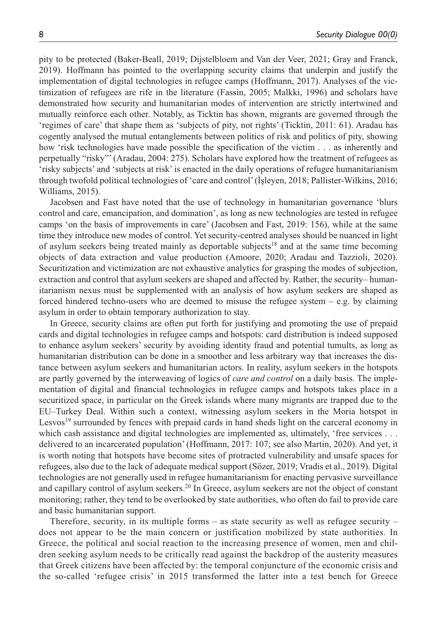pity to be protected (Baker-Beall, 2019; Dijstelbloem and Van der Veer, 2021; Gray and Franck, 2019). Hoffmann has pointed to the overlapping security claims that underpin and justify the implementation of digital technologies in refugee camps (Hoffmann, 2017). Analyses of the victimization of refugees are rife in the literature (Fassin, 2005; Malkki, 1996) and scholars have demonstrated how security and humanitarian modes of intervention are strictly intertwined and mutually reinforce each other. Notably, as Ticktin has shown, migrants are governed through the 'regimes of care' that shape them as 'subjects of pity, not rights' (Ticktin, 2011: 61). Aradau has cogently analysed the mutual entanglements between politics of risk and politics of pity, showing how 'risk technologies have made possible the specification of the victim . . . as inherently and perpetually "risky"' (Aradau, 2004: 275). Scholars have explored how the treatment of refugees as 'risky subjects' and 'subjects at risk' is enacted in the daily operations of refugee humanitarianism through twofold political technologies of 'care and control' (İşleyen, 2018; Pallister-Wilkins, 2016; Williams, 2015).

Jacobsen and Fast have noted that the use of technology in humanitarian governance 'blurs control and care, emancipation, and domination', as long as new technologies are tested in refugee camps 'on the basis of improvements in care' (Jacobsen and Fast, 2019: 156), while at the same time they introduce new modes of control. Yet security-centred analyses should be nuanced in light of asylum seekers being treated mainly as deportable subjects<sup>18</sup> and at the same time becoming objects of data extraction and value production (Amoore, 2020; Aradau and Tazzioli, 2020). Securitization and victimization are not exhaustive analytics for grasping the modes of subjection, extraction and control that asylum seekers are shaped and affected by. Rather, the security– humanitarianism nexus must be supplemented with an analysis of how asylum seekers are shaped as forced hindered techno-users who are deemed to misuse the refugee system – e.g. by claiming asylum in order to obtain temporary authorization to stay.

In Greece, security claims are often put forth for justifying and promoting the use of prepaid cards and digital technologies in refugee camps and hotspots: card distribution is indeed supposed to enhance asylum seekers' security by avoiding identity fraud and potential tumults, as long as humanitarian distribution can be done in a smoother and less arbitrary way that increases the distance between asylum seekers and humanitarian actors. In reality, asylum seekers in the hotspots are partly governed by the interweaving of logics of *care and control* on a daily basis. The implementation of digital and financial technologies in refugee camps and hotspots takes place in a securitized space, in particular on the Greek islands where many migrants are trapped due to the EU–Turkey Deal. Within such a context, witnessing asylum seekers in the Moria hotspot in Lesvos<sup>19</sup> surrounded by fences with prepaid cards in hand sheds light on the carceral economy in which cash assistance and digital technologies are implemented as, ultimately, 'free services . . . delivered to an incarcerated population' (Hoffmann, 2017: 107; see also Martin, 2020). And yet, it is worth noting that hotspots have become sites of protracted vulnerability and unsafe spaces for refugees, also due to the lack of adequate medical support (Sözer, 2019; Vradis et al., 2019). Digital technologies are not generally used in refugee humanitarianism for enacting pervasive surveillance and capillary control of asylum seekers.20 In Greece, asylum seekers are not the object of constant monitoring; rather, they tend to be overlooked by state authorities, who often do fail to provide care and basic humanitarian support.

Therefore, security, in its multiple forms – as state security as well as refugee security – does not appear to be the main concern or justification mobilized by state authorities. In Greece, the political and social reaction to the increasing presence of women, men and children seeking asylum needs to be critically read against the backdrop of the austerity measures that Greek citizens have been affected by: the temporal conjuncture of the economic crisis and the so-called 'refugee crisis' in 2015 transformed the latter into a test bench for Greece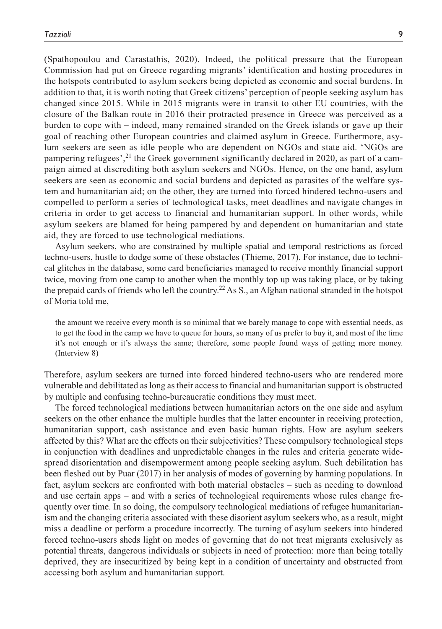(Spathopoulou and Carastathis, 2020). Indeed, the political pressure that the European Commission had put on Greece regarding migrants' identification and hosting procedures in the hotspots contributed to asylum seekers being depicted as economic and social burdens. In addition to that, it is worth noting that Greek citizens' perception of people seeking asylum has changed since 2015. While in 2015 migrants were in transit to other EU countries, with the closure of the Balkan route in 2016 their protracted presence in Greece was perceived as a burden to cope with – indeed, many remained stranded on the Greek islands or gave up their goal of reaching other European countries and claimed asylum in Greece. Furthermore, asylum seekers are seen as idle people who are dependent on NGOs and state aid. 'NGOs are pampering refugees', $2<sup>1</sup>$  the Greek government significantly declared in 2020, as part of a campaign aimed at discrediting both asylum seekers and NGOs. Hence, on the one hand, asylum seekers are seen as economic and social burdens and depicted as parasites of the welfare system and humanitarian aid; on the other, they are turned into forced hindered techno-users and compelled to perform a series of technological tasks, meet deadlines and navigate changes in criteria in order to get access to financial and humanitarian support. In other words, while asylum seekers are blamed for being pampered by and dependent on humanitarian and state aid, they are forced to use technological mediations.

Asylum seekers, who are constrained by multiple spatial and temporal restrictions as forced techno-users, hustle to dodge some of these obstacles (Thieme, 2017). For instance, due to technical glitches in the database, some card beneficiaries managed to receive monthly financial support twice, moving from one camp to another when the monthly top up was taking place, or by taking the prepaid cards of friends who left the country.<sup>22</sup> As S., an Afghan national stranded in the hotspot of Moria told me,

the amount we receive every month is so minimal that we barely manage to cope with essential needs, as to get the food in the camp we have to queue for hours, so many of us prefer to buy it, and most of the time it's not enough or it's always the same; therefore, some people found ways of getting more money. (Interview 8)

Therefore, asylum seekers are turned into forced hindered techno-users who are rendered more vulnerable and debilitated as long as their access to financial and humanitarian support is obstructed by multiple and confusing techno-bureaucratic conditions they must meet.

The forced technological mediations between humanitarian actors on the one side and asylum seekers on the other enhance the multiple hurdles that the latter encounter in receiving protection, humanitarian support, cash assistance and even basic human rights. How are asylum seekers affected by this? What are the effects on their subjectivities? These compulsory technological steps in conjunction with deadlines and unpredictable changes in the rules and criteria generate widespread disorientation and disempowerment among people seeking asylum. Such debilitation has been fleshed out by Puar (2017) in her analysis of modes of governing by harming populations. In fact, asylum seekers are confronted with both material obstacles – such as needing to download and use certain apps – and with a series of technological requirements whose rules change frequently over time. In so doing, the compulsory technological mediations of refugee humanitarianism and the changing criteria associated with these disorient asylum seekers who, as a result, might miss a deadline or perform a procedure incorrectly. The turning of asylum seekers into hindered forced techno-users sheds light on modes of governing that do not treat migrants exclusively as potential threats, dangerous individuals or subjects in need of protection: more than being totally deprived, they are insecuritized by being kept in a condition of uncertainty and obstructed from accessing both asylum and humanitarian support.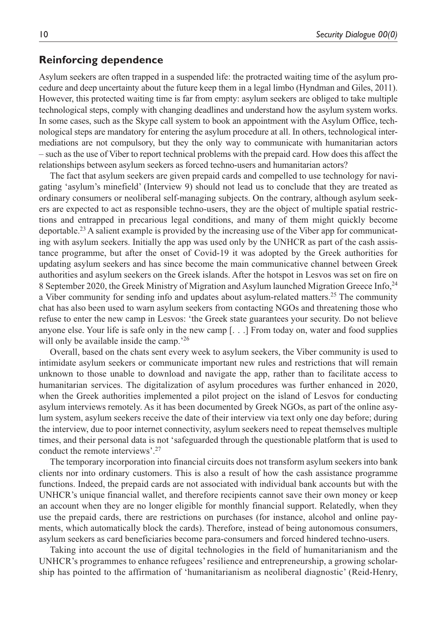# **Reinforcing dependence**

Asylum seekers are often trapped in a suspended life: the protracted waiting time of the asylum procedure and deep uncertainty about the future keep them in a legal limbo (Hyndman and Giles, 2011). However, this protected waiting time is far from empty: asylum seekers are obliged to take multiple technological steps, comply with changing deadlines and understand how the asylum system works. In some cases, such as the Skype call system to book an appointment with the Asylum Office, technological steps are mandatory for entering the asylum procedure at all. In others, technological intermediations are not compulsory, but they the only way to communicate with humanitarian actors – such as the use of Viber to report technical problems with the prepaid card. How does this affect the relationships between asylum seekers as forced techno-users and humanitarian actors?

The fact that asylum seekers are given prepaid cards and compelled to use technology for navigating 'asylum's minefield' (Interview 9) should not lead us to conclude that they are treated as ordinary consumers or neoliberal self-managing subjects. On the contrary, although asylum seekers are expected to act as responsible techno-users, they are the object of multiple spatial restrictions and entrapped in precarious legal conditions, and many of them might quickly become deportable.23 A salient example is provided by the increasing use of the Viber app for communicating with asylum seekers. Initially the app was used only by the UNHCR as part of the cash assistance programme, but after the onset of Covid-19 it was adopted by the Greek authorities for updating asylum seekers and has since become the main communicative channel between Greek authorities and asylum seekers on the Greek islands. After the hotspot in Lesvos was set on fire on 8 September 2020, the Greek Ministry of Migration and Asylum launched Migration Greece Info, <sup>24</sup> a Viber community for sending info and updates about asylum-related matters.<sup>25</sup> The community chat has also been used to warn asylum seekers from contacting NGOs and threatening those who refuse to enter the new camp in Lesvos: 'the Greek state guarantees your security. Do not believe anyone else. Your life is safe only in the new camp [. . .] From today on, water and food supplies will only be available inside the camp.<sup>26</sup>

Overall, based on the chats sent every week to asylum seekers, the Viber community is used to intimidate asylum seekers or communicate important new rules and restrictions that will remain unknown to those unable to download and navigate the app, rather than to facilitate access to humanitarian services. The digitalization of asylum procedures was further enhanced in 2020, when the Greek authorities implemented a pilot project on the island of Lesvos for conducting asylum interviews remotely. As it has been documented by Greek NGOs, as part of the online asylum system, asylum seekers receive the date of their interview via text only one day before; during the interview, due to poor internet connectivity, asylum seekers need to repeat themselves multiple times, and their personal data is not 'safeguarded through the questionable platform that is used to conduct the remote interviews'.27

The temporary incorporation into financial circuits does not transform asylum seekers into bank clients nor into ordinary customers. This is also a result of how the cash assistance programme functions. Indeed, the prepaid cards are not associated with individual bank accounts but with the UNHCR's unique financial wallet, and therefore recipients cannot save their own money or keep an account when they are no longer eligible for monthly financial support. Relatedly, when they use the prepaid cards, there are restrictions on purchases (for instance, alcohol and online payments, which automatically block the cards). Therefore, instead of being autonomous consumers, asylum seekers as card beneficiaries become para-consumers and forced hindered techno-users.

Taking into account the use of digital technologies in the field of humanitarianism and the UNHCR's programmes to enhance refugees' resilience and entrepreneurship, a growing scholarship has pointed to the affirmation of 'humanitarianism as neoliberal diagnostic' (Reid-Henry,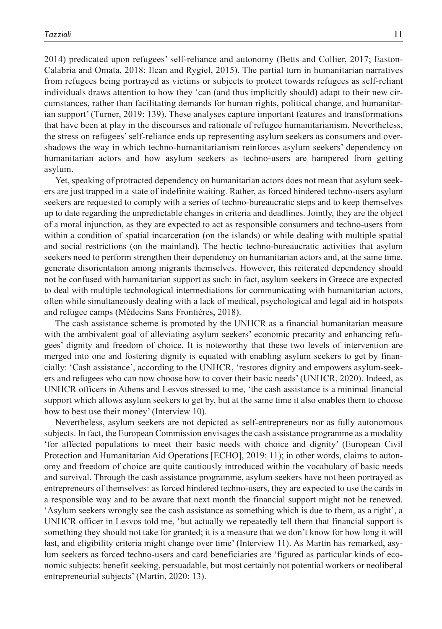2014) predicated upon refugees' self-reliance and autonomy (Betts and Collier, 2017; Easton-Calabria and Omata, 2018; Ilcan and Rygiel, 2015). The partial turn in humanitarian narratives from refugees being portrayed as victims or subjects to protect towards refugees as self-reliant individuals draws attention to how they 'can (and thus implicitly should) adapt to their new circumstances, rather than facilitating demands for human rights, political change, and humanitarian support' (Turner, 2019: 139). These analyses capture important features and transformations that have been at play in the discourses and rationale of refugee humanitarianism. Nevertheless, the stress on refugees' self-reliance ends up representing asylum seekers as consumers and overshadows the way in which techno-humanitarianism reinforces asylum seekers' dependency on humanitarian actors and how asylum seekers as techno-users are hampered from getting asylum.

Yet, speaking of protracted dependency on humanitarian actors does not mean that asylum seekers are just trapped in a state of indefinite waiting. Rather, as forced hindered techno-users asylum seekers are requested to comply with a series of techno-bureaucratic steps and to keep themselves up to date regarding the unpredictable changes in criteria and deadlines. Jointly, they are the object of a moral injunction, as they are expected to act as responsible consumers and techno-users from within a condition of spatial incarceration (on the islands) or while dealing with multiple spatial and social restrictions (on the mainland). The hectic techno-bureaucratic activities that asylum seekers need to perform strengthen their dependency on humanitarian actors and, at the same time, generate disorientation among migrants themselves. However, this reiterated dependency should not be confused with humanitarian support as such: in fact, asylum seekers in Greece are expected to deal with multiple technological intermediations for communicating with humanitarian actors, often while simultaneously dealing with a lack of medical, psychological and legal aid in hotspots and refugee camps (Médecins Sans Frontières, 2018).

The cash assistance scheme is promoted by the UNHCR as a financial humanitarian measure with the ambivalent goal of alleviating asylum seekers' economic precarity and enhancing refugees' dignity and freedom of choice. It is noteworthy that these two levels of intervention are merged into one and fostering dignity is equated with enabling asylum seekers to get by financially: 'Cash assistance', according to the UNHCR, 'restores dignity and empowers asylum-seekers and refugees who can now choose how to cover their basic needs' (UNHCR, 2020). Indeed, as UNHCR officers in Athens and Lesvos stressed to me, 'the cash assistance is a minimal financial support which allows asylum seekers to get by, but at the same time it also enables them to choose how to best use their money' (Interview 10).

Nevertheless, asylum seekers are not depicted as self-entrepreneurs nor as fully autonomous subjects. In fact, the European Commission envisages the cash assistance programme as a modality 'for affected populations to meet their basic needs with choice and dignity' (European Civil Protection and Humanitarian Aid Operations [ECHO], 2019: 11); in other words, claims to autonomy and freedom of choice are quite cautiously introduced within the vocabulary of basic needs and survival. Through the cash assistance programme, asylum seekers have not been portrayed as entrepreneurs of themselves: as forced hindered techno-users, they are expected to use the cards in a responsible way and to be aware that next month the financial support might not be renewed. 'Asylum seekers wrongly see the cash assistance as something which is due to them, as a right', a UNHCR officer in Lesvos told me, 'but actually we repeatedly tell them that financial support is something they should not take for granted; it is a measure that we don't know for how long it will last, and eligibility criteria might change over time' (Interview 11). As Martin has remarked, asylum seekers as forced techno-users and card beneficiaries are 'figured as particular kinds of economic subjects: benefit seeking, persuadable, but most certainly not potential workers or neoliberal entrepreneurial subjects' (Martin, 2020: 13).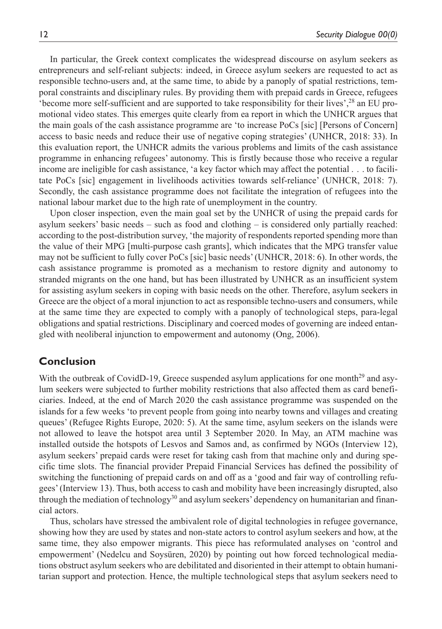In particular, the Greek context complicates the widespread discourse on asylum seekers as entrepreneurs and self-reliant subjects: indeed, in Greece asylum seekers are requested to act as responsible techno-users and, at the same time, to abide by a panoply of spatial restrictions, temporal constraints and disciplinary rules. By providing them with prepaid cards in Greece, refugees 'become more self-sufficient and are supported to take responsibility for their lives',28 an EU promotional video states. This emerges quite clearly from ea report in which the UNHCR argues that the main goals of the cash assistance programme are 'to increase PoCs [sic] [Persons of Concern] access to basic needs and reduce their use of negative coping strategies' (UNHCR, 2018: 33). In this evaluation report, the UNHCR admits the various problems and limits of the cash assistance programme in enhancing refugees' autonomy. This is firstly because those who receive a regular income are ineligible for cash assistance, 'a key factor which may affect the potential . . . to facilitate PoCs [sic] engagement in livelihoods activities towards self-reliance' (UNHCR, 2018: 7). Secondly, the cash assistance programme does not facilitate the integration of refugees into the national labour market due to the high rate of unemployment in the country.

Upon closer inspection, even the main goal set by the UNHCR of using the prepaid cards for asylum seekers' basic needs – such as food and clothing – is considered only partially reached: according to the post-distribution survey, 'the majority of respondents reported spending more than the value of their MPG [multi-purpose cash grants], which indicates that the MPG transfer value may not be sufficient to fully cover PoCs [sic] basic needs' (UNHCR, 2018: 6). In other words, the cash assistance programme is promoted as a mechanism to restore dignity and autonomy to stranded migrants on the one hand, but has been illustrated by UNHCR as an insufficient system for assisting asylum seekers in coping with basic needs on the other. Therefore, asylum seekers in Greece are the object of a moral injunction to act as responsible techno-users and consumers, while at the same time they are expected to comply with a panoply of technological steps, para-legal obligations and spatial restrictions. Disciplinary and coerced modes of governing are indeed entangled with neoliberal injunction to empowerment and autonomy (Ong, 2006).

# **Conclusion**

With the outbreak of CovidD-19, Greece suspended asylum applications for one month<sup>29</sup> and asylum seekers were subjected to further mobility restrictions that also affected them as card beneficiaries. Indeed, at the end of March 2020 the cash assistance programme was suspended on the islands for a few weeks 'to prevent people from going into nearby towns and villages and creating queues' (Refugee Rights Europe, 2020: 5). At the same time, asylum seekers on the islands were not allowed to leave the hotspot area until 3 September 2020. In May, an ATM machine was installed outside the hotspots of Lesvos and Samos and, as confirmed by NGOs (Interview 12), asylum seekers' prepaid cards were reset for taking cash from that machine only and during specific time slots. The financial provider Prepaid Financial Services has defined the possibility of switching the functioning of prepaid cards on and off as a 'good and fair way of controlling refugees' (Interview 13). Thus, both access to cash and mobility have been increasingly disrupted, also through the mediation of technology<sup>30</sup> and asylum seekers' dependency on humanitarian and financial actors.

Thus, scholars have stressed the ambivalent role of digital technologies in refugee governance, showing how they are used by states and non-state actors to control asylum seekers and how, at the same time, they also empower migrants. This piece has reformulated analyses on 'control and empowerment' (Nedelcu and Soysüren, 2020) by pointing out how forced technological mediations obstruct asylum seekers who are debilitated and disoriented in their attempt to obtain humanitarian support and protection. Hence, the multiple technological steps that asylum seekers need to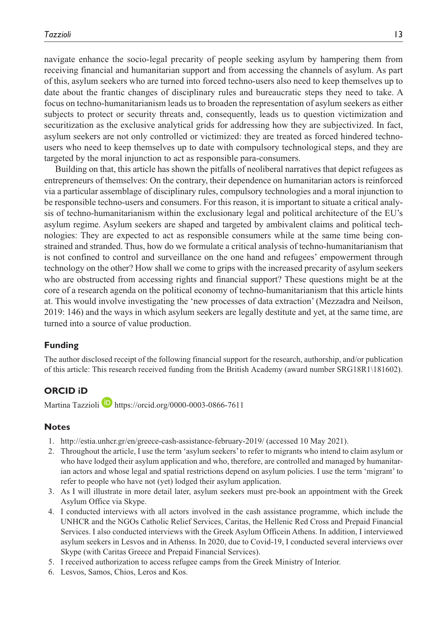navigate enhance the socio-legal precarity of people seeking asylum by hampering them from receiving financial and humanitarian support and from accessing the channels of asylum. As part of this, asylum seekers who are turned into forced techno-users also need to keep themselves up to date about the frantic changes of disciplinary rules and bureaucratic steps they need to take. A focus on techno-humanitarianism leads us to broaden the representation of asylum seekers as either subjects to protect or security threats and, consequently, leads us to question victimization and securitization as the exclusive analytical grids for addressing how they are subjectivized. In fact, asylum seekers are not only controlled or victimized: they are treated as forced hindered technousers who need to keep themselves up to date with compulsory technological steps, and they are targeted by the moral injunction to act as responsible para-consumers.

Building on that, this article has shown the pitfalls of neoliberal narratives that depict refugees as entrepreneurs of themselves: On the contrary, their dependence on humanitarian actors is reinforced via a particular assemblage of disciplinary rules, compulsory technologies and a moral injunction to be responsible techno-users and consumers. For this reason, it is important to situate a critical analysis of techno-humanitarianism within the exclusionary legal and political architecture of the EU's asylum regime. Asylum seekers are shaped and targeted by ambivalent claims and political technologies: They are expected to act as responsible consumers while at the same time being constrained and stranded. Thus, how do we formulate a critical analysis of techno-humanitarianism that is not confined to control and surveillance on the one hand and refugees' empowerment through technology on the other? How shall we come to grips with the increased precarity of asylum seekers who are obstructed from accessing rights and financial support? These questions might be at the core of a research agenda on the political economy of techno-humanitarianism that this article hints at. This would involve investigating the 'new processes of data extraction' (Mezzadra and Neilson, 2019: 146) and the ways in which asylum seekers are legally destitute and yet, at the same time, are turned into a source of value production.

### **Funding**

The author disclosed receipt of the following financial support for the research, authorship, and/or publication of this article: This research received funding from the British Academy (award number SRG18R1\181602).

### **ORCID iD**

Martina Tazzioli **b** <https://orcid.org/0000-0003-0866-7611>

#### **Notes**

- 1. <http://estia.unhcr.gr/en/greece-cash-assistance-february-2019/> (accessed 10 May 2021).
- 2. Throughout the article, I use the term 'asylum seekers' to refer to migrants who intend to claim asylum or who have lodged their asylum application and who, therefore, are controlled and managed by humanitarian actors and whose legal and spatial restrictions depend on asylum policies. I use the term 'migrant' to refer to people who have not (yet) lodged their asylum application.
- 3. As I will illustrate in more detail later, asylum seekers must pre-book an appointment with the Greek Asylum Office via Skype.
- 4. I conducted interviews with all actors involved in the cash assistance programme, which include the UNHCR and the NGOs Catholic Relief Services, Caritas, the Hellenic Red Cross and Prepaid Financial Services. I also conducted interviews with the Greek Asylum Officein Athens. In addition, I interviewed asylum seekers in Lesvos and in Athenss. In 2020, due to Covid-19, I conducted several interviews over Skype (with Caritas Greece and Prepaid Financial Services).
- 5. I received authorization to access refugee camps from the Greek Ministry of Interior.
- 6. Lesvos, Samos, Chios, Leros and Kos.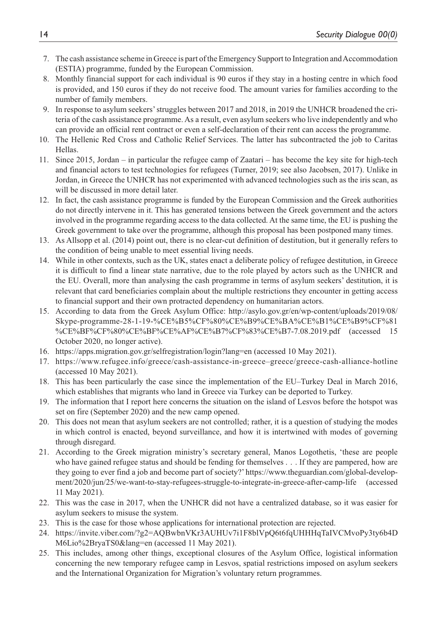- 7. The cash assistance scheme in Greece is part of the Emergency Support to Integration and Accommodation (ESTIA) programme, funded by the European Commission.
- 8. Monthly financial support for each individual is 90 euros if they stay in a hosting centre in which food is provided, and 150 euros if they do not receive food. The amount varies for families according to the number of family members.
- 9. In response to asylum seekers' struggles between 2017 and 2018, in 2019 the UNHCR broadened the criteria of the cash assistance programme. As a result, even asylum seekers who live independently and who can provide an official rent contract or even a self-declaration of their rent can access the programme.
- 10. The Hellenic Red Cross and Catholic Relief Services. The latter has subcontracted the job to Caritas Hellas.
- 11. Since 2015, Jordan in particular the refugee camp of Zaatari has become the key site for high-tech and financial actors to test technologies for refugees (Turner, 2019; see also Jacobsen, 2017). Unlike in Jordan, in Greece the UNHCR has not experimented with advanced technologies such as the iris scan, as will be discussed in more detail later.
- 12. In fact, the cash assistance programme is funded by the European Commission and the Greek authorities do not directly intervene in it. This has generated tensions between the Greek government and the actors involved in the programme regarding access to the data collected. At the same time, the EU is pushing the Greek government to take over the programme, although this proposal has been postponed many times.
- 13. As Allsopp et al. (2014) point out, there is no clear-cut definition of destitution, but it generally refers to the condition of being unable to meet essential living needs.
- 14. While in other contexts, such as the UK, states enact a deliberate policy of refugee destitution, in Greece it is difficult to find a linear state narrative, due to the role played by actors such as the UNHCR and the EU. Overall, more than analysing the cash programme in terms of asylum seekers' destitution, it is relevant that card beneficiaries complain about the multiple restrictions they encounter in getting access to financial support and their own protracted dependency on humanitarian actors.
- 15. According to data from the Greek Asylum Office: [http://asylo.gov.gr/en/wp-content/uploads/2019/08/](http://asylo.gov.gr/en/wp-content/uploads/2019/08/Skype-programme-28-1-19-%CE%B5%CF%80%CE%B9%CE%BA%CE%B1%CE%B9%CF%81%CE%BF%CF%80%CE%BF%CE%AF%CE%B7%CF%83%CE%B7-7.08.2019.pdf) [Skype-programme-28-1-19-%CE%B5%CF%80%CE%B9%CE%BA%CE%B1%CE%B9%CF%81](http://asylo.gov.gr/en/wp-content/uploads/2019/08/Skype-programme-28-1-19-%CE%B5%CF%80%CE%B9%CE%BA%CE%B1%CE%B9%CF%81%CE%BF%CF%80%CE%BF%CE%AF%CE%B7%CF%83%CE%B7-7.08.2019.pdf) [%CE%BF%CF%80%CE%BF%CE%AF%CE%B7%CF%83%CE%B7-7.08.2019.pdf](http://asylo.gov.gr/en/wp-content/uploads/2019/08/Skype-programme-28-1-19-%CE%B5%CF%80%CE%B9%CE%BA%CE%B1%CE%B9%CF%81%CE%BF%CF%80%CE%BF%CE%AF%CE%B7%CF%83%CE%B7-7.08.2019.pdf) (accessed 15 October 2020, no longer active).
- 16. <https://apps.migration.gov.gr/selfregistration/login?lang=en>(accessed 10 May 2021).
- 17. [https://www.refugee.info/greece/cash-assistance-in-greece–](https://www.refugee.info/greece/cash-assistance-in-greece)greece/greece-cash-alliance-hotline (accessed 10 May 2021).
- 18. This has been particularly the case since the implementation of the EU–Turkey Deal in March 2016, which establishes that migrants who land in Greece via Turkey can be deported to Turkey.
- 19. The information that I report here concerns the situation on the island of Lesvos before the hotspot was set on fire (September 2020) and the new camp opened.
- 20. This does not mean that asylum seekers are not controlled; rather, it is a question of studying the modes in which control is enacted, beyond surveillance, and how it is intertwined with modes of governing through disregard.
- 21. According to the Greek migration ministry's secretary general, Manos Logothetis, 'these are people who have gained refugee status and should be fending for themselves . . . If they are pampered, how are they going to ever find a job and become part of society?' [https://www.theguardian.com/global-develop](https://www.theguardian.com/global-development/2020/jun/25/we-want-to-stay-refugees-struggle-to-integrate-in-greece-after-camp-life)[ment/2020/jun/25/we-want-to-stay-refugees-struggle-to-integrate-in-greece-after-camp-life](https://www.theguardian.com/global-development/2020/jun/25/we-want-to-stay-refugees-struggle-to-integrate-in-greece-after-camp-life) (accessed 11 May 2021).
- 22. This was the case in 2017, when the UNHCR did not have a centralized database, so it was easier for asylum seekers to misuse the system.
- 23. This is the case for those whose applications for international protection are rejected.
- 24. [https://invite.viber.com/?g2=AQBwbnVKr3AUHUv7i1F8blVpQ6t6fqUHHHqTaIVCMvoPy3ty6b4D](https://invite.viber.com/?g2=AQBwbnVKr3AUHUv7i1F8blVpQ6t6fqUHHHqTaIVCMvoPy3ty6b4DM6Lio%2BryaTS0&lang=en) [M6Lio%2BryaTS0&lang=en](https://invite.viber.com/?g2=AQBwbnVKr3AUHUv7i1F8blVpQ6t6fqUHHHqTaIVCMvoPy3ty6b4DM6Lio%2BryaTS0&lang=en) (accessed 11 May 2021).
- 25. This includes, among other things, exceptional closures of the Asylum Office, logistical information concerning the new temporary refugee camp in Lesvos, spatial restrictions imposed on asylum seekers and the International Organization for Migration's voluntary return programmes.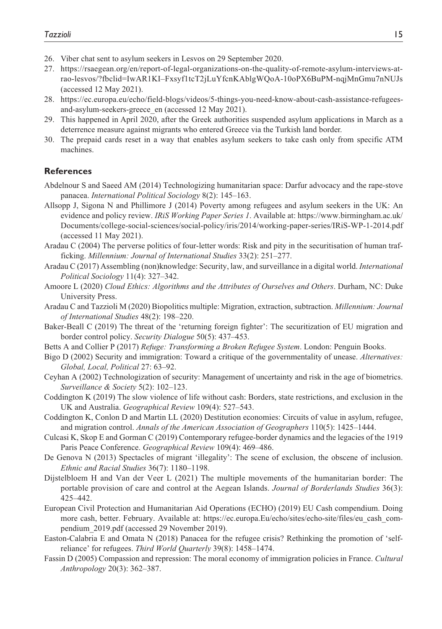- 26. Viber chat sent to asylum seekers in Lesvos on 29 September 2020.
- 27. [https://rsaegean.org/en/report-of-legal-organizations-on-the-quality-of-remote-asylum-interviews-at](https://rsaegean.org/en/report-of-legal-organizations-on-the-quality-of-remote-asylum-interviews-at-rao-lesvos/?fbclid=IwAR1KI)[rao-lesvos/?fbclid=IwAR1KI](https://rsaegean.org/en/report-of-legal-organizations-on-the-quality-of-remote-asylum-interviews-at-rao-lesvos/?fbclid=IwAR1KI)–Fxsyf1tcT2jLuYfcnKAblgWQoA-10oPX6BuPM-nqjMnGmu7nNUJs (accessed 12 May 2021).
- 28. [https://ec.europa.eu/echo/field-blogs/videos/5-things-you-need-know-about-cash-assistance-refugees](https://ec.europa.eu/echo/field-blogs/videos/5-things-you-need-know-about-cash-assistance-refugees-and-asylum-seekers-greece_en)[and-asylum-seekers-greece\\_en](https://ec.europa.eu/echo/field-blogs/videos/5-things-you-need-know-about-cash-assistance-refugees-and-asylum-seekers-greece_en) (accessed 12 May 2021).
- 29. This happened in April 2020, after the Greek authorities suspended asylum applications in March as a deterrence measure against migrants who entered Greece via the Turkish land border.
- 30. The prepaid cards reset in a way that enables asylum seekers to take cash only from specific ATM machines.

#### **References**

- Abdelnour S and Saeed AM (2014) Technologizing humanitarian space: Darfur advocacy and the rape-stove panacea. *International Political Sociology* 8(2): 145–163.
- Allsopp J, Sigona N and Phillimore J (2014) Poverty among refugees and asylum seekers in the UK: An evidence and policy review. *IRiS Working Paper Series 1*. Available at: [https://www.birmingham.ac.uk/](https://www.birmingham.ac.uk/Documents/college-social-sciences/social-policy/iris/2014/working-paper-series/IRiS-WP-1-2014.pdf) [Documents/college-social-sciences/social-policy/iris/2014/working-paper-series/IRiS-WP-1-2014.pdf](https://www.birmingham.ac.uk/Documents/college-social-sciences/social-policy/iris/2014/working-paper-series/IRiS-WP-1-2014.pdf) (accessed 11 May 2021).
- Aradau C (2004) The perverse politics of four-letter words: Risk and pity in the securitisation of human trafficking. *Millennium: Journal of International Studies* 33(2): 251–277.
- Aradau C (2017) Assembling (non)knowledge: Security, law, and surveillance in a digital world. *International Political Sociology* 11(4): 327–342.
- Amoore L (2020) *Cloud Ethics: Algorithms and the Attributes of Ourselves and Others*. Durham, NC: Duke University Press.
- Aradau C and Tazzioli M (2020) Biopolitics multiple: Migration, extraction, subtraction. *Millennium: Journal of International Studies* 48(2): 198–220.
- Baker-Beall C (2019) The threat of the 'returning foreign fighter': The securitization of EU migration and border control policy. *Security Dialogue* 50(5): 437–453.
- Betts A and Collier P (2017) *Refuge: Transforming a Broken Refugee System*. London: Penguin Books.
- Bigo D (2002) Security and immigration: Toward a critique of the governmentality of unease. *Alternatives: Global, Local, Political* 27: 63–92.
- Ceyhan A (2002) Technologization of security: Management of uncertainty and risk in the age of biometrics. *Surveillance & Society* 5(2): 102–123.
- Coddington K (2019) The slow violence of life without cash: Borders, state restrictions, and exclusion in the UK and Australia. *Geographical Review* 109(4): 527–543.
- Coddington K, Conlon D and Martin LL (2020) Destitution economies: Circuits of value in asylum, refugee, and migration control. *Annals of the American Association of Geographers* 110(5): 1425–1444.
- Culcasi K, Skop E and Gorman C (2019) Contemporary refugee-border dynamics and the legacies of the 1919 Paris Peace Conference. *Geographical Review* 109(4): 469–486.
- De Genova N (2013) Spectacles of migrant 'illegality': The scene of exclusion, the obscene of inclusion. *Ethnic and Racial Studies* 36(7): 1180–1198.
- Dijstelbloem H and Van der Veer L (2021) The multiple movements of the humanitarian border: The portable provision of care and control at the Aegean Islands. *Journal of Borderlands Studies* 36(3): 425–442.
- European Civil Protection and Humanitarian Aid Operations (ECHO) (2019) EU Cash compendium. Doing more cash, better. February. Available at: [https://ec.europa.Eu/echo/sites/echo-site/files/eu\\_cash\\_com](https://ec.europa.Eu/echo/sites/echo-site/files/eu_cash_compendium_2019.pdf)[pendium\\_2019.pdf](https://ec.europa.Eu/echo/sites/echo-site/files/eu_cash_compendium_2019.pdf) (accessed 29 November 2019).
- Easton-Calabria E and Omata N (2018) Panacea for the refugee crisis? Rethinking the promotion of 'selfreliance' for refugees. *Third World Quarterly* 39(8): 1458–1474.
- Fassin D (2005) Compassion and repression: The moral economy of immigration policies in France. *Cultural Anthropology* 20(3): 362–387.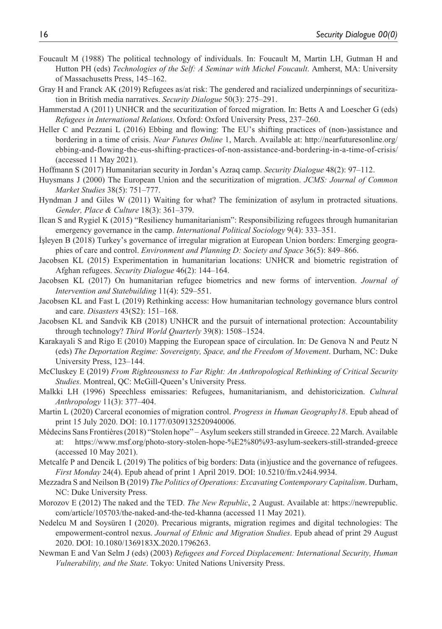- Foucault M (1988) The political technology of individuals. In: Foucault M, Martin LH, Gutman H and Hutton PH (eds) *Technologies of the Self: A Seminar with Michel Foucault*. Amherst, MA: University of Massachusetts Press, 145–162.
- Gray H and Franck AK (2019) Refugees as/at risk: The gendered and racialized underpinnings of securitization in British media narratives. *Security Dialogue* 50(3): 275–291.
- Hammerstad A (2011) UNHCR and the securitization of forced migration. In: Betts A and Loescher G (eds) *Refugees in International Relations*. Oxford: Oxford University Press, 237–260.
- Heller C and Pezzani L (2016) Ebbing and flowing: The EU's shifting practices of (non-)assistance and bordering in a time of crisis. *Near Futures Online* 1, March. Available at: [http://nearfuturesonline.org/](http://nearfuturesonline.org/ebbing-and-flowing-the-eus-shifting-practices-of-non-assistance-and-bordering-in-a-time-of-crisis/) [ebbing-and-flowing-the-eus-shifting-practices-of-non-assistance-and-bordering-in-a-time-of-crisis/](http://nearfuturesonline.org/ebbing-and-flowing-the-eus-shifting-practices-of-non-assistance-and-bordering-in-a-time-of-crisis/) (accessed 11 May 2021).
- Hoffmann S (2017) Humanitarian security in Jordan's Azraq camp. *Security Dialogue* 48(2): 97–112.
- Huysmans J (2000) The European Union and the securitization of migration. *JCMS: Journal of Common Market Studies* 38(5): 751–777.
- Hyndman J and Giles W (2011) Waiting for what? The feminization of asylum in protracted situations. *Gender, Place & Culture* 18(3): 361–379.
- Ilcan S and Rygiel K (2015) "Resiliency humanitarianism": Responsibilizing refugees through humanitarian emergency governance in the camp. *International Political Sociology* 9(4): 333–351.
- İşleyen B (2018) Turkey's governance of irregular migration at European Union borders: Emerging geographies of care and control. *Environment and Planning D: Society and Space* 36(5): 849–866.
- Jacobsen KL (2015) Experimentation in humanitarian locations: UNHCR and biometric registration of Afghan refugees. *Security Dialogue* 46(2): 144–164.
- Jacobsen KL (2017) On humanitarian refugee biometrics and new forms of intervention. *Journal of Intervention and Statebuilding* 11(4): 529–551.
- Jacobsen KL and Fast L (2019) Rethinking access: How humanitarian technology governance blurs control and care. *Disasters* 43(S2): 151–168.
- Jacobsen KL and Sandvik KB (2018) UNHCR and the pursuit of international protection: Accountability through technology? *Third World Quarterly* 39(8): 1508–1524.
- Karakayali S and Rigo E (2010) Mapping the European space of circulation. In: De Genova N and Peutz N (eds) *The Deportation Regime: Sovereignty, Space, and the Freedom of Movement*. Durham, NC: Duke University Press, 123–144.
- McCluskey E (2019) *From Righteousness to Far Right: An Anthropological Rethinking of Critical Security Studies*. Montreal, QC: McGill-Queen's University Press.
- Malkki LH (1996) Speechless emissaries: Refugees, humanitarianism, and dehistoricization. *Cultural Anthropology* 11(3): 377–404.
- Martin L (2020) Carceral economies of migration control. *Progress in Human Geography18*. Epub ahead of print 15 July 2020. DOI: 10.1177/0309132520940006.
- Médecins Sans Frontières (2018) "Stolen hope" Asylum seekers still stranded in Greece. 22 March. Available at: <https://www.msf.org/photo-story-stolen-hope-%E2%80%93-asylum-seekers-still-stranded-greece> (accessed 10 May 2021).
- Metcalfe P and Dencik L (2019) The politics of big borders: Data (in)justice and the governance of refugees. *First Monday* 24(4). Epub ahead of print 1 April 2019. DOI: 10.5210/fm.v24i4.9934.
- Mezzadra S and Neilson B (2019) *The Politics of Operations: Excavating Contemporary Capitalism*. Durham, NC: Duke University Press.
- Morozov E (2012) The naked and the TED. *The New Republic*, 2 August. Available at: [https://newrepublic.](https://newrepublic.com/article/105703/the-naked-and-the-ted-khanna) [com/article/105703/the-naked-and-the-ted-khanna](https://newrepublic.com/article/105703/the-naked-and-the-ted-khanna) (accessed 11 May 2021).
- Nedelcu M and Soysüren I (2020). Precarious migrants, migration regimes and digital technologies: The empowerment-control nexus. *Journal of Ethnic and Migration Studies*. Epub ahead of print 29 August 2020. DOI: 10.1080/1369183X.2020.1796263.
- Newman E and Van Selm J (eds) (2003) *Refugees and Forced Displacement: International Security, Human Vulnerability, and the State*. Tokyo: United Nations University Press.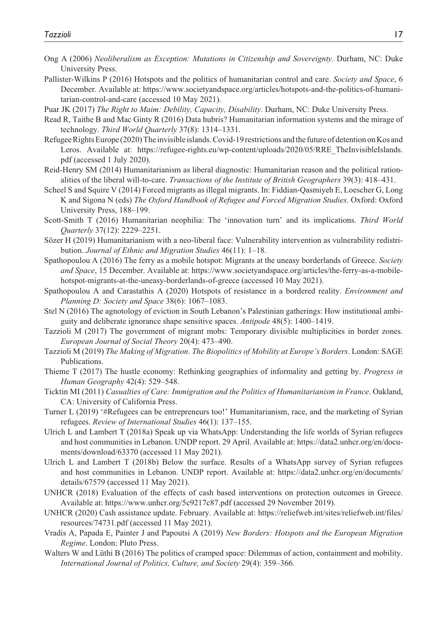- Ong A (2006) *Neoliberalism as Exception: Mutations in Citizenship and Sovereignty*. Durham, NC: Duke University Press.
- Pallister-Wilkins P (2016) Hotspots and the politics of humanitarian control and care. *Society and Space*, 6 December. Available at: [https://www.societyandspace.org/articles/hotspots-and-the-politics-of-humani](https://www.societyandspace.org/articles/hotspots-and-the-politics-of-humanitarian-control-and-care)[tarian-control-and-care](https://www.societyandspace.org/articles/hotspots-and-the-politics-of-humanitarian-control-and-care) (accessed 10 May 2021).

Puar JK (2017) *The Right to Maim: Debility, Capacity, Disability*. Durham, NC: Duke University Press.

- Read R, Taithe B and Mac Ginty R (2016) Data hubris? Humanitarian information systems and the mirage of technology. *Third World Quarterly* 37(8): 1314–1331.
- Refugee Rights Europe (2020) The invisible islands. Covid-19 restrictions and the future of detention on Kos and Leros. Available at: https://refugee-rights.eu/wp-content/uploads/2020/05/RRE TheInvisibleIslands. [pdf](https://refugee-rights.eu/wp-content/uploads/2020/05/RRE_TheInvisibleIslands.pdf) (accessed 1 July 2020).
- Reid-Henry SM (2014) Humanitarianism as liberal diagnostic: Humanitarian reason and the political rationalities of the liberal will-to-care. *Transactions of the Institute of British Geographers* 39(3): 418–431.
- Scheel S and Squire V (2014) Forced migrants as illegal migrants. In: Fiddian-Qasmiyeh E, Loescher G, Long K and Sigona N (eds) *The Oxford Handbook of Refugee and Forced Migration Studies*. Oxford: Oxford University Press, 188–199.
- Scott-Smith T (2016) Humanitarian neophilia: The 'innovation turn' and its implications. *Third World Quarterly* 37(12): 2229–2251.
- Sözer H (2019) Humanitarianism with a neo-liberal face: Vulnerability intervention as vulnerability redistribution. *Journal of Ethnic and Migration Studies* 46(11): 1–18.
- Spathopoulou A (2016) The ferry as a mobile hotspot: Migrants at the uneasy borderlands of Greece. *Society and Space*, 15 December. Available at: [https://www.societyandspace.org/articles/the-ferry-as-a-mobile](https://www.societyandspace.org/articles/the-ferry-as-a-mobile-hotspot-migrants-at-the-uneasy-borderlands-of-greece)[hotspot-migrants-at-the-uneasy-borderlands-of-greece](https://www.societyandspace.org/articles/the-ferry-as-a-mobile-hotspot-migrants-at-the-uneasy-borderlands-of-greece) (accessed 10 May 2021).
- Spathopoulou A and Carastathis A (2020) Hotspots of resistance in a bordered reality. *Environment and Planning D: Society and Space* 38(6): 1067–1083.
- Stel N (2016) The agnotology of eviction in South Lebanon's Palestinian gatherings: How institutional ambiguity and deliberate ignorance shape sensitive spaces. *Antipode* 48(5): 1400–1419.
- Tazzioli M (2017) The government of migrant mobs: Temporary divisible multiplicities in border zones. *European Journal of Social Theory* 20(4): 473–490.
- Tazzioli M (2019) *The Making of Migration. The Biopolitics of Mobility at Europe's Borders*. London: SAGE Publications.
- Thieme T (2017) The hustle economy: Rethinking geographies of informality and getting by. *Progress in Human Geography* 42(4): 529–548.
- Ticktin MI (2011) *Casualties of Care: Immigration and the Politics of Humanitarianism in France*. Oakland, CA: University of California Press.
- Turner L (2019) '#Refugees can be entrepreneurs too!' Humanitarianism, race, and the marketing of Syrian refugees. *Review of International Studies* 46(1): 137–155.
- Ulrich L and Lambert T (2018a) Speak up via WhatsApp: Understanding the life worlds of Syrian refugees and host communities in Lebanon. UNDP report. 29 April. Available at: [https://data2.unhcr.org/en/docu](https://data2.unhcr.org/en/documents/download/63370)[ments/download/63370](https://data2.unhcr.org/en/documents/download/63370) (accessed 11 May 2021).
- Ulrich L and Lambert T (2018b) Below the surface. Results of a WhatsApp survey of Syrian refugees and host communities in Lebanon. UNDP report. Available at: [https://data2.unhcr.org/en/documents/](https://data2.unhcr.org/en/documents/details/67579) [details/67579](https://data2.unhcr.org/en/documents/details/67579) (accessed 11 May 2021).
- UNHCR (2018) Evaluation of the effects of cash based interventions on protection outcomes in Greece. Available at: <https://www.unhcr.org/5c9217c87.pdf> (accessed 29 November 2019).
- UNHCR (2020) Cash assistance update. February. Available at: [https://reliefweb.int/sites/reliefweb.int/files/](https://reliefweb.int/sites/reliefweb.int/files/resources/74731.pdf) [resources/74731.pdf](https://reliefweb.int/sites/reliefweb.int/files/resources/74731.pdf) (accessed 11 May 2021).
- Vradis A, Papada E, Painter J and Papoutsi A (2019) *New Borders: Hotspots and the European Migration Regime*. London: Pluto Press.
- Walters W and Lüthi B (2016) The politics of cramped space: Dilemmas of action, containment and mobility. *International Journal of Politics, Culture, and Society* 29(4): 359–366.